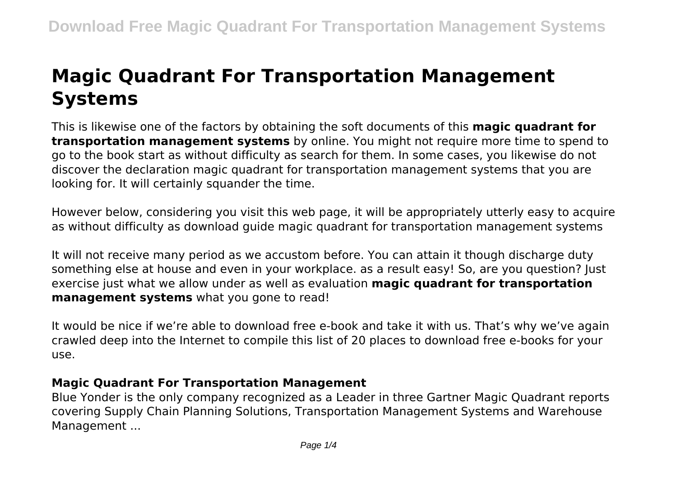# **Magic Quadrant For Transportation Management Systems**

This is likewise one of the factors by obtaining the soft documents of this **magic quadrant for transportation management systems** by online. You might not require more time to spend to go to the book start as without difficulty as search for them. In some cases, you likewise do not discover the declaration magic quadrant for transportation management systems that you are looking for. It will certainly squander the time.

However below, considering you visit this web page, it will be appropriately utterly easy to acquire as without difficulty as download guide magic quadrant for transportation management systems

It will not receive many period as we accustom before. You can attain it though discharge duty something else at house and even in your workplace. as a result easy! So, are you question? Just exercise just what we allow under as well as evaluation **magic quadrant for transportation management systems** what you gone to read!

It would be nice if we're able to download free e-book and take it with us. That's why we've again crawled deep into the Internet to compile this list of 20 places to download free e-books for your use.

#### **Magic Quadrant For Transportation Management**

Blue Yonder is the only company recognized as a Leader in three Gartner Magic Quadrant reports covering Supply Chain Planning Solutions, Transportation Management Systems and Warehouse Management ...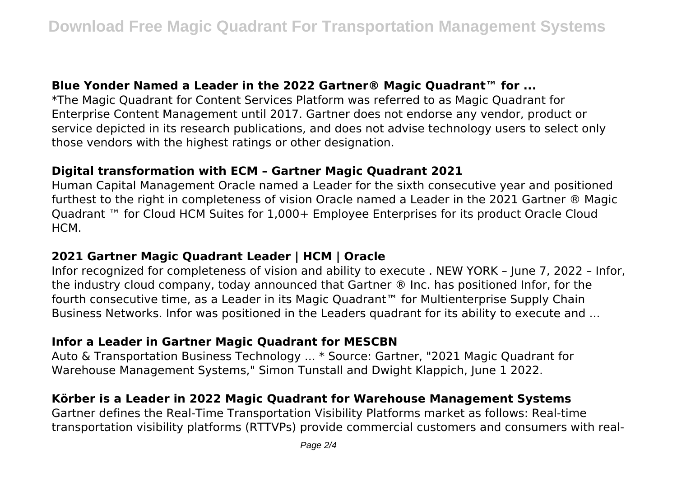## **Blue Yonder Named a Leader in the 2022 Gartner® Magic Quadrant™ for ...**

\*The Magic Quadrant for Content Services Platform was referred to as Magic Quadrant for Enterprise Content Management until 2017. Gartner does not endorse any vendor, product or service depicted in its research publications, and does not advise technology users to select only those vendors with the highest ratings or other designation.

# **Digital transformation with ECM – Gartner Magic Quadrant 2021**

Human Capital Management Oracle named a Leader for the sixth consecutive year and positioned furthest to the right in completeness of vision Oracle named a Leader in the 2021 Gartner ® Magic Quadrant ™ for Cloud HCM Suites for 1,000+ Employee Enterprises for its product Oracle Cloud HCM.

## **2021 Gartner Magic Quadrant Leader | HCM | Oracle**

Infor recognized for completeness of vision and ability to execute . NEW YORK – June 7, 2022 – Infor, the industry cloud company, today announced that Gartner ® Inc. has positioned Infor, for the fourth consecutive time, as a Leader in its Magic Quadrant™ for Multienterprise Supply Chain Business Networks. Infor was positioned in the Leaders quadrant for its ability to execute and ...

## **Infor a Leader in Gartner Magic Quadrant for MESCBN**

Auto & Transportation Business Technology ... \* Source: Gartner, "2021 Magic Quadrant for Warehouse Management Systems," Simon Tunstall and Dwight Klappich, June 1 2022.

# **Körber is a Leader in 2022 Magic Quadrant for Warehouse Management Systems**

Gartner defines the Real-Time Transportation Visibility Platforms market as follows: Real-time transportation visibility platforms (RTTVPs) provide commercial customers and consumers with real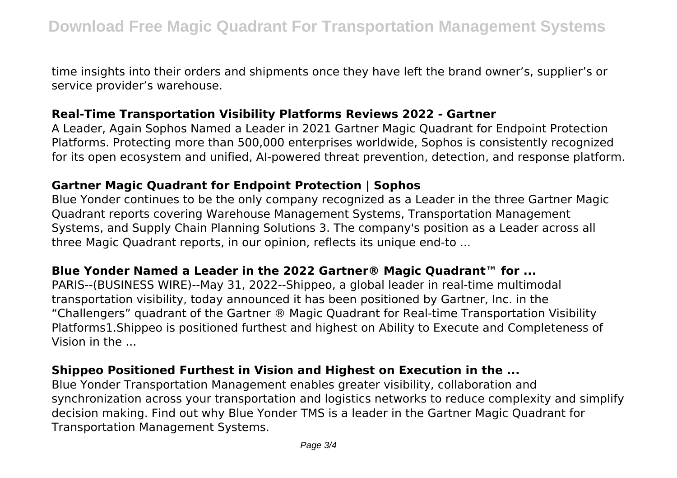time insights into their orders and shipments once they have left the brand owner's, supplier's or service provider's warehouse.

#### **Real-Time Transportation Visibility Platforms Reviews 2022 - Gartner**

A Leader, Again Sophos Named a Leader in 2021 Gartner Magic Quadrant for Endpoint Protection Platforms. Protecting more than 500,000 enterprises worldwide, Sophos is consistently recognized for its open ecosystem and unified, AI-powered threat prevention, detection, and response platform.

#### **Gartner Magic Quadrant for Endpoint Protection | Sophos**

Blue Yonder continues to be the only company recognized as a Leader in the three Gartner Magic Quadrant reports covering Warehouse Management Systems, Transportation Management Systems, and Supply Chain Planning Solutions 3. The company's position as a Leader across all three Magic Quadrant reports, in our opinion, reflects its unique end-to ...

#### **Blue Yonder Named a Leader in the 2022 Gartner® Magic Quadrant™ for ...**

PARIS--(BUSINESS WIRE)--May 31, 2022--Shippeo, a global leader in real-time multimodal transportation visibility, today announced it has been positioned by Gartner, Inc. in the "Challengers" quadrant of the Gartner ® Magic Quadrant for Real-time Transportation Visibility Platforms1.Shippeo is positioned furthest and highest on Ability to Execute and Completeness of Vision in the ...

## **Shippeo Positioned Furthest in Vision and Highest on Execution in the ...**

Blue Yonder Transportation Management enables greater visibility, collaboration and synchronization across your transportation and logistics networks to reduce complexity and simplify decision making. Find out why Blue Yonder TMS is a leader in the Gartner Magic Quadrant for Transportation Management Systems.